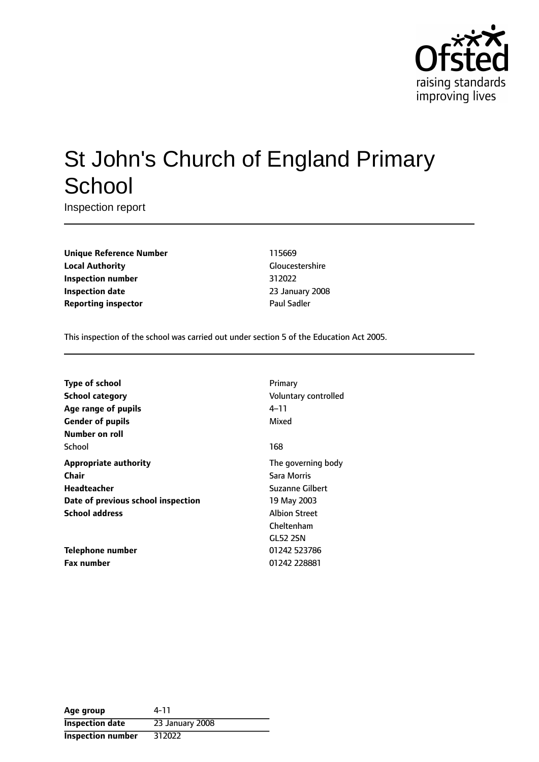

# St John's Church of England Primary **School**

Inspection report

**Unique Reference Number** 115669 **Local Authority** Gloucestershire **Inspection number** 312022 **Inspection date** 23 January 2008 **Reporting inspector CONSERVING PAUL SAMPLE PAUL SAMPLE PAUL SAMPLE PAUL SAMPLE PAUL SAMPLE PAUL SAMPLE PAUL SAMPLE** 

This inspection of the school was carried out under section 5 of the Education Act 2005.

| <b>Type of school</b>              | Primary              |
|------------------------------------|----------------------|
| <b>School category</b>             | Voluntary controlled |
| Age range of pupils                | 4–11                 |
| <b>Gender of pupils</b>            | Mixed                |
| Number on roll                     |                      |
| School                             | 168                  |
| <b>Appropriate authority</b>       | The governing body   |
| Chair                              | Sara Morris          |
| <b>Headteacher</b>                 | Suzanne Gilbert      |
| Date of previous school inspection | 19 May 2003          |
| <b>School address</b>              | <b>Albion Street</b> |
|                                    | Cheltenham           |
|                                    | GL52 2SN             |
| Telephone number                   | 01242 523786         |
| <b>Fax number</b>                  | 01242 228881         |

| Age group                | 4-11            |
|--------------------------|-----------------|
| <b>Inspection date</b>   | 23 January 2008 |
| <b>Inspection number</b> | 312022          |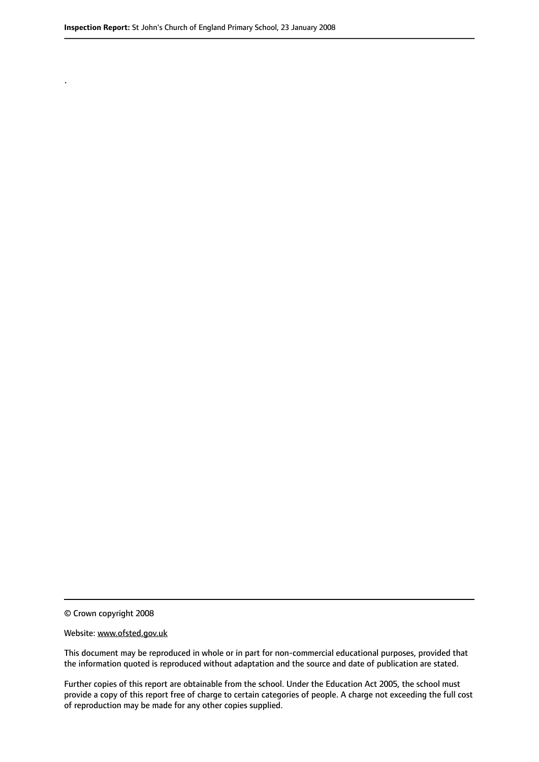.

© Crown copyright 2008

#### Website: www.ofsted.gov.uk

This document may be reproduced in whole or in part for non-commercial educational purposes, provided that the information quoted is reproduced without adaptation and the source and date of publication are stated.

Further copies of this report are obtainable from the school. Under the Education Act 2005, the school must provide a copy of this report free of charge to certain categories of people. A charge not exceeding the full cost of reproduction may be made for any other copies supplied.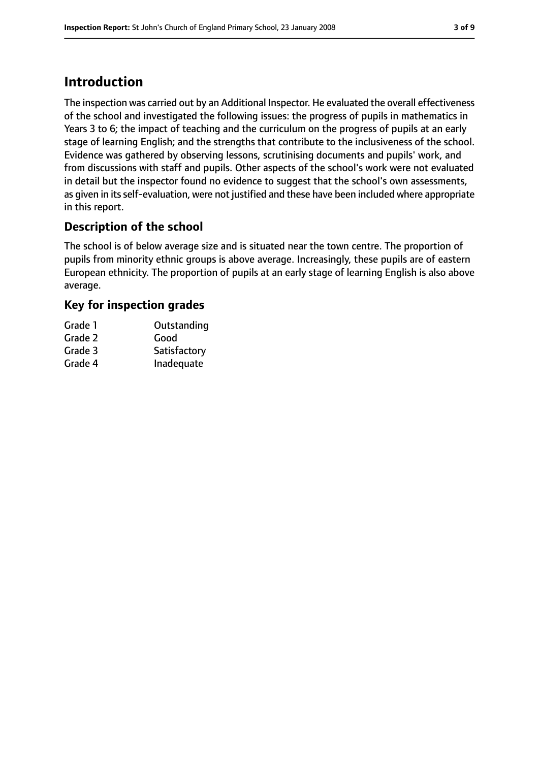# **Introduction**

The inspection was carried out by an Additional Inspector. He evaluated the overall effectiveness of the school and investigated the following issues: the progress of pupils in mathematics in Years 3 to 6; the impact of teaching and the curriculum on the progress of pupils at an early stage of learning English; and the strengths that contribute to the inclusiveness of the school. Evidence was gathered by observing lessons, scrutinising documents and pupils' work, and from discussions with staff and pupils. Other aspects of the school's work were not evaluated in detail but the inspector found no evidence to suggest that the school's own assessments, as given in its self-evaluation, were not justified and these have been included where appropriate in this report.

# **Description of the school**

The school is of below average size and is situated near the town centre. The proportion of pupils from minority ethnic groups is above average. Increasingly, these pupils are of eastern European ethnicity. The proportion of pupils at an early stage of learning English is also above average.

### **Key for inspection grades**

| Grade 1 | Outstanding  |
|---------|--------------|
| Grade 2 | Good         |
| Grade 3 | Satisfactory |
| Grade 4 | Inadequate   |
|         |              |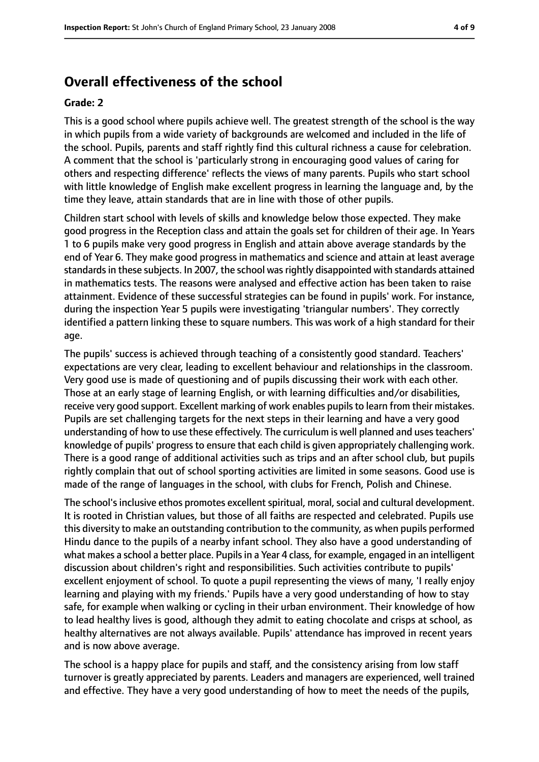# **Overall effectiveness of the school**

#### **Grade: 2**

This is a good school where pupils achieve well. The greatest strength of the school is the way in which pupils from a wide variety of backgrounds are welcomed and included in the life of the school. Pupils, parents and staff rightly find this cultural richness a cause for celebration. A comment that the school is 'particularly strong in encouraging good values of caring for others and respecting difference' reflects the views of many parents. Pupils who start school with little knowledge of English make excellent progress in learning the language and, by the time they leave, attain standards that are in line with those of other pupils.

Children start school with levels of skills and knowledge below those expected. They make good progress in the Reception class and attain the goals set for children of their age. In Years 1 to 6 pupils make very good progress in English and attain above average standards by the end of Year 6. They make good progress in mathematics and science and attain at least average standards in these subjects. In 2007, the school was rightly disappointed with standards attained in mathematics tests. The reasons were analysed and effective action has been taken to raise attainment. Evidence of these successful strategies can be found in pupils' work. For instance, during the inspection Year 5 pupils were investigating 'triangular numbers'. They correctly identified a pattern linking these to square numbers. This was work of a high standard for their age.

The pupils' success is achieved through teaching of a consistently good standard. Teachers' expectations are very clear, leading to excellent behaviour and relationships in the classroom. Very good use is made of questioning and of pupils discussing their work with each other. Those at an early stage of learning English, or with learning difficulties and/or disabilities, receive very good support. Excellent marking of work enables pupils to learn from their mistakes. Pupils are set challenging targets for the next steps in their learning and have a very good understanding of how to use these effectively. The curriculum is well planned and uses teachers' knowledge of pupils' progress to ensure that each child is given appropriately challenging work. There is a good range of additional activities such as trips and an after school club, but pupils rightly complain that out of school sporting activities are limited in some seasons. Good use is made of the range of languages in the school, with clubs for French, Polish and Chinese.

The school's inclusive ethos promotes excellent spiritual, moral, social and cultural development. It is rooted in Christian values, but those of all faiths are respected and celebrated. Pupils use this diversity to make an outstanding contribution to the community, as when pupils performed Hindu dance to the pupils of a nearby infant school. They also have a good understanding of what makes a school a better place. Pupils in a Year 4 class, for example, engaged in an intelligent discussion about children's right and responsibilities. Such activities contribute to pupils' excellent enjoyment of school. To quote a pupil representing the views of many, 'I really enjoy learning and playing with my friends.' Pupils have a very good understanding of how to stay safe, for example when walking or cycling in their urban environment. Their knowledge of how to lead healthy lives is good, although they admit to eating chocolate and crisps at school, as healthy alternatives are not always available. Pupils' attendance has improved in recent years and is now above average.

The school is a happy place for pupils and staff, and the consistency arising from low staff turnover is greatly appreciated by parents. Leaders and managers are experienced, well trained and effective. They have a very good understanding of how to meet the needs of the pupils,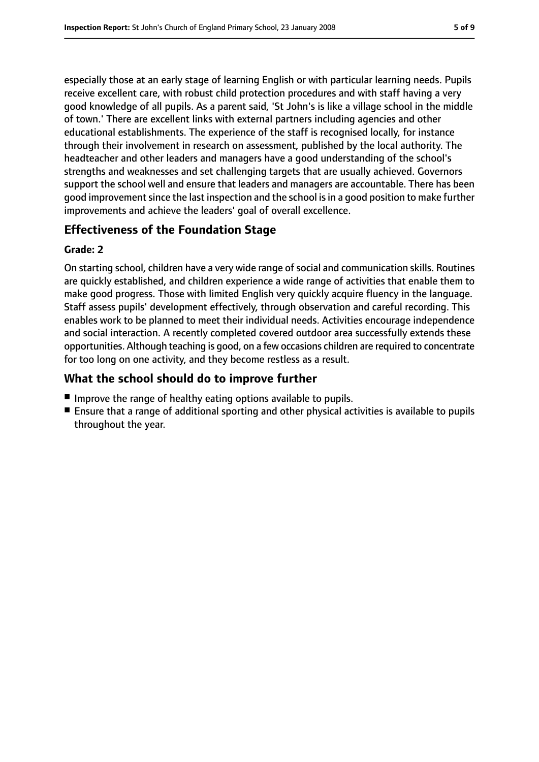especially those at an early stage of learning English or with particular learning needs. Pupils receive excellent care, with robust child protection procedures and with staff having a very good knowledge of all pupils. As a parent said, 'St John's is like a village school in the middle of town.' There are excellent links with external partners including agencies and other educational establishments. The experience of the staff is recognised locally, for instance through their involvement in research on assessment, published by the local authority. The headteacher and other leaders and managers have a good understanding of the school's strengths and weaknesses and set challenging targets that are usually achieved. Governors support the school well and ensure that leaders and managers are accountable. There has been good improvement since the last inspection and the school is in a good position to make further improvements and achieve the leaders' goal of overall excellence.

# **Effectiveness of the Foundation Stage**

#### **Grade: 2**

On starting school, children have a very wide range of social and communication skills. Routines are quickly established, and children experience a wide range of activities that enable them to make good progress. Those with limited English very quickly acquire fluency in the language. Staff assess pupils' development effectively, through observation and careful recording. This enables work to be planned to meet their individual needs. Activities encourage independence and social interaction. A recently completed covered outdoor area successfully extends these opportunities. Although teaching is good, on a few occasions children are required to concentrate for too long on one activity, and they become restless as a result.

### **What the school should do to improve further**

- Improve the range of healthy eating options available to pupils.
- Ensure that a range of additional sporting and other physical activities is available to pupils throughout the year.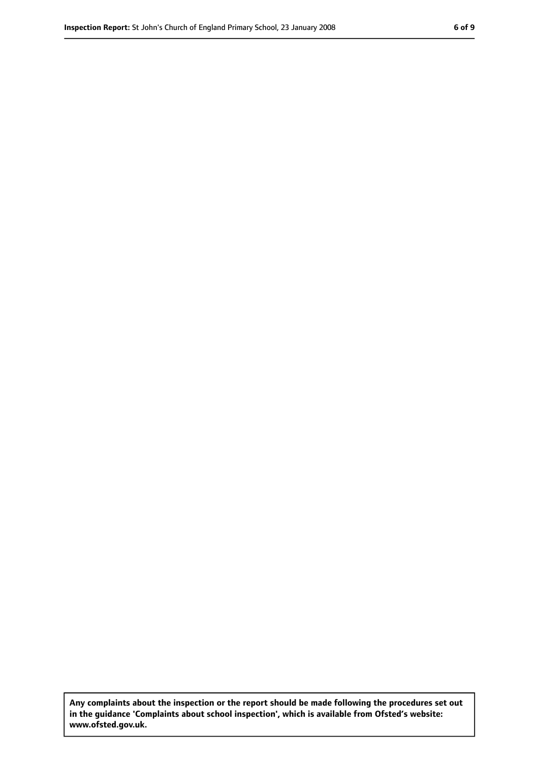**Any complaints about the inspection or the report should be made following the procedures set out in the guidance 'Complaints about school inspection', which is available from Ofsted's website: www.ofsted.gov.uk.**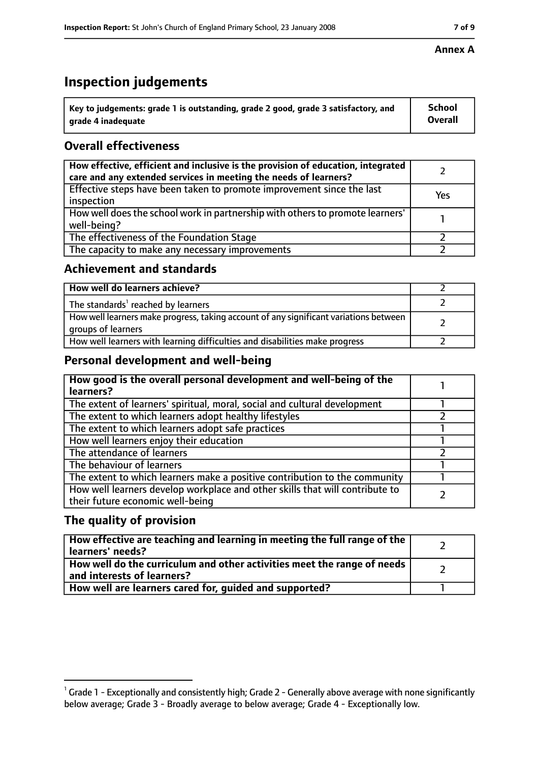# **Inspection judgements**

| $^{\backprime}$ Key to judgements: grade 1 is outstanding, grade 2 good, grade 3 satisfactory, and | <b>School</b>  |
|----------------------------------------------------------------------------------------------------|----------------|
| arade 4 inadequate                                                                                 | <b>Overall</b> |

# **Overall effectiveness**

| How effective, efficient and inclusive is the provision of education, integrated<br>care and any extended services in meeting the needs of learners? |     |
|------------------------------------------------------------------------------------------------------------------------------------------------------|-----|
| Effective steps have been taken to promote improvement since the last<br>inspection                                                                  | Yes |
| How well does the school work in partnership with others to promote learners'<br>well-being?                                                         |     |
| The effectiveness of the Foundation Stage                                                                                                            |     |
| The capacity to make any necessary improvements                                                                                                      |     |

### **Achievement and standards**

| How well do learners achieve?                                                                               |  |
|-------------------------------------------------------------------------------------------------------------|--|
| The standards <sup>1</sup> reached by learners                                                              |  |
| How well learners make progress, taking account of any significant variations between<br>groups of learners |  |
| How well learners with learning difficulties and disabilities make progress                                 |  |

# **Personal development and well-being**

| How good is the overall personal development and well-being of the<br>learners?                                  |  |
|------------------------------------------------------------------------------------------------------------------|--|
| The extent of learners' spiritual, moral, social and cultural development                                        |  |
| The extent to which learners adopt healthy lifestyles                                                            |  |
| The extent to which learners adopt safe practices                                                                |  |
| How well learners enjoy their education                                                                          |  |
| The attendance of learners                                                                                       |  |
| The behaviour of learners                                                                                        |  |
| The extent to which learners make a positive contribution to the community                                       |  |
| How well learners develop workplace and other skills that will contribute to<br>their future economic well-being |  |

# **The quality of provision**

| How effective are teaching and learning in meeting the full range of the<br>learners' needs?          |  |
|-------------------------------------------------------------------------------------------------------|--|
| How well do the curriculum and other activities meet the range of needs<br>and interests of learners? |  |
| How well are learners cared for, quided and supported?                                                |  |

 $^1$  Grade 1 - Exceptionally and consistently high; Grade 2 - Generally above average with none significantly below average; Grade 3 - Broadly average to below average; Grade 4 - Exceptionally low.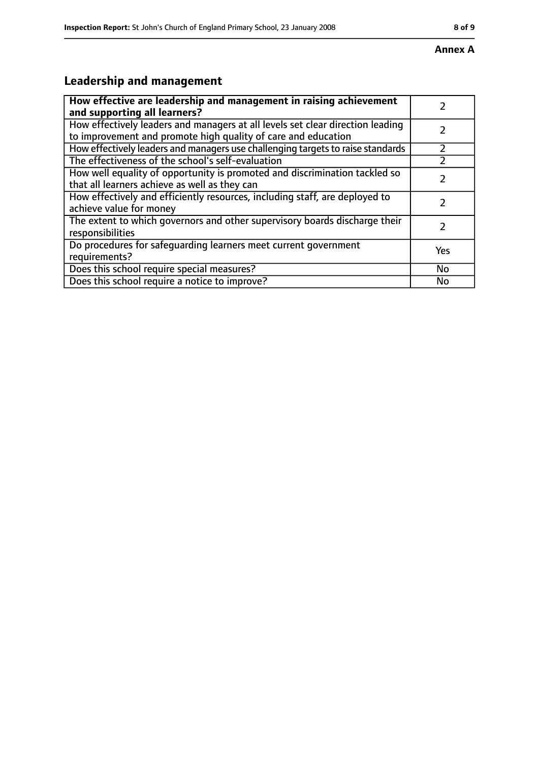# **Leadership and management**

| How effective are leadership and management in raising achievement                                                                              |           |
|-------------------------------------------------------------------------------------------------------------------------------------------------|-----------|
| and supporting all learners?                                                                                                                    |           |
| How effectively leaders and managers at all levels set clear direction leading<br>to improvement and promote high quality of care and education |           |
| How effectively leaders and managers use challenging targets to raise standards                                                                 |           |
| The effectiveness of the school's self-evaluation                                                                                               |           |
| How well equality of opportunity is promoted and discrimination tackled so<br>that all learners achieve as well as they can                     |           |
| How effectively and efficiently resources, including staff, are deployed to<br>achieve value for money                                          | 7         |
| The extent to which governors and other supervisory boards discharge their<br>responsibilities                                                  | フ         |
| Do procedures for safequarding learners meet current government<br>requirements?                                                                | Yes       |
| Does this school require special measures?                                                                                                      | <b>No</b> |
| Does this school require a notice to improve?                                                                                                   | No        |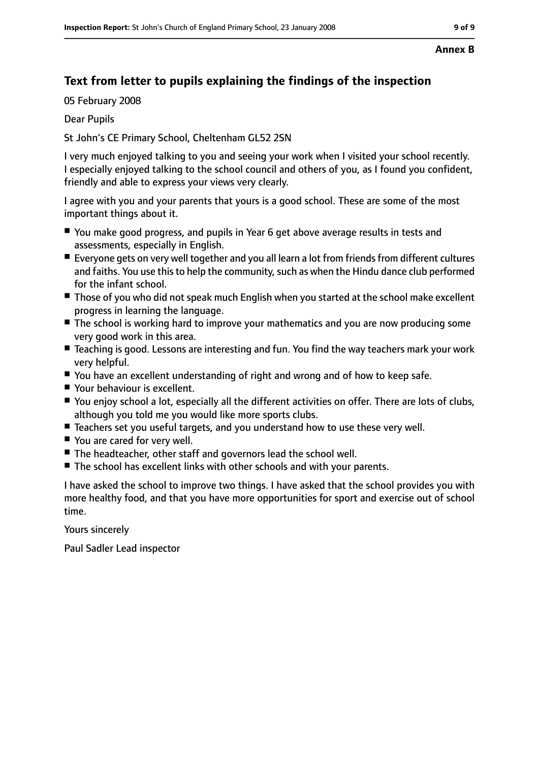#### **Annex B**

# **Text from letter to pupils explaining the findings of the inspection**

05 February 2008

Dear Pupils

St John's CE Primary School, Cheltenham GL52 2SN

I very much enjoyed talking to you and seeing your work when I visited your school recently. I especially enjoyed talking to the school council and others of you, as I found you confident, friendly and able to express your views very clearly.

I agree with you and your parents that yours is a good school. These are some of the most important things about it.

- You make good progress, and pupils in Year 6 get above average results in tests and assessments, especially in English.
- Everyone gets on very well together and you all learn a lot from friends from different cultures and faiths. You use this to help the community, such as when the Hindu dance club performed for the infant school.
- Those of you who did not speak much English when you started at the school make excellent progress in learning the language.
- The school is working hard to improve your mathematics and you are now producing some very good work in this area.
- Teaching is good. Lessons are interesting and fun. You find the way teachers mark your work very helpful.
- You have an excellent understanding of right and wrong and of how to keep safe.
- Your behaviour is excellent.
- You enjoy school a lot, especially all the different activities on offer. There are lots of clubs, although you told me you would like more sports clubs.
- Teachers set you useful targets, and you understand how to use these very well.
- You are cared for very well.
- The headteacher, other staff and governors lead the school well.
- The school has excellent links with other schools and with your parents.

I have asked the school to improve two things. I have asked that the school provides you with more healthy food, and that you have more opportunities for sport and exercise out of school time.

Yours sincerely

Paul Sadler Lead inspector